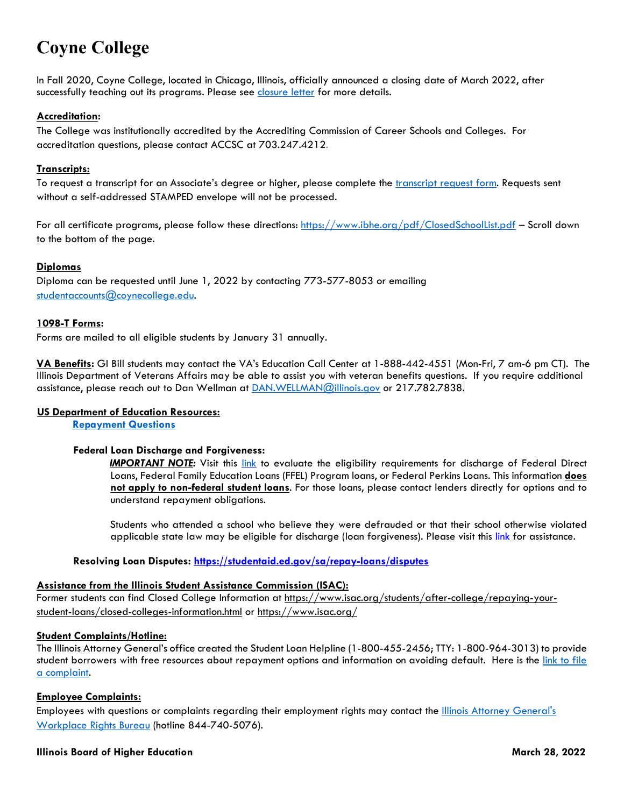# **Coyne College**

In Fall 2020, Coyne College, located in Chicago, Illinois, officially announced a closing date of March 2022, after successfully teaching out its programs. Please see [closure letter](https://www.coynecollegerc.com/general-9) for more details.

# **Accreditation:**

The College was institutionally accredited by the Accrediting Commission of Career Schools and Colleges. For accreditation questions, please contact ACCSC at 703.247.4212.

# **Transcripts:**

To request a transcript for an Associate's degree or higher, please complete the *transcript request form*. Requests sent without a self-addressed STAMPED envelope will not be processed.

For all certificate programs, please follow these directions:<https://www.ibhe.org/pdf/ClosedSchoolList.pdf> – Scroll down to the bottom of the page.

### **Diplomas**

Diploma can be requested until June 1, 2022 by contacting 773-577-8053 or emailing studentaccounts@coynecollege.edu.

### **1098-T Forms:**

Forms are mailed to all eligible students by January 31 annually.

**VA Benefits:** GI Bill students may contact the VA's Education Call Center at 1-888-442-4551 (Mon-Fri, 7 am-6 pm CT). The Illinois Department of Veterans Affairs may be able to assist you with veteran benefits questions. If you require additional assistance, please reach out to Dan Wellman at [DAN.WELLMAN@illinois.gov](mailto:DAN.WELLMAN@illinois.gov) or 217.782.7838.

### **US Department of Education Resources:**

**[Repayment Questions](https://studentaid.ed.gov/sa/repay-loans)**

### **Federal Loan Discharge and Forgiveness:**

*IMPORTANT NOTE:* Visit this [link](https://studentaid.ed.gov/sa/repay-loans/forgiveness-cancellation/closed-school) to evaluate the eligibility requirements for discharge of Federal Direct Loans, Federal Family Education Loans (FFEL) Program loans, or Federal Perkins Loans. This information **does not apply to non-federal student loans**. For those loans, please contact lenders directly for options and to understand repayment obligations.

Students who attended a school who believe they were defrauded or that their school otherwise violated applicable state law may be eligible for discharge (loan forgiveness). Please visit this [link](https://studentaid.ed.gov/sa/repay-loans/forgiveness-cancellation/borrower-defense) for assistance.

### **Resolving Loan Disputes:<https://studentaid.ed.gov/sa/repay-loans/disputes>**

### **Assistance from the Illinois Student Assistance Commission (ISAC):**

Former students can find Closed College Information at [https://www.isac.org/students/after-college/repaying-your](https://www.isac.org/students/after-college/repaying-your-student-loans/closed-colleges-information.html)[student-loans/closed-colleges-information.html](https://www.isac.org/students/after-college/repaying-your-student-loans/closed-colleges-information.html) or<https://www.isac.org/>

### **Student Complaints/Hotline:**

The Illinois Attorney General's office created the Student Loan Helpline (1-800-455-2456; TTY: 1-800-964-3013) to provide student borrowers with free resources about repayment options and information on avoiding default. Here is the link to file [a complaint.](http://www.illinoisattorneygeneral.gov/consumers/filecomplaint.html)

### **Employee Complaints:**

Employees with questions or complaints regarding their employment rights may contact the *Illinois Attorney General's* [Workplace Rights Bureau](https://urldefense.proofpoint.com/v2/url?u=http-3A__www.illinoisattorneygeneral.gov_rights_labor-5Femploy.html&d=DwMFAg&c=euGZstcaTDllvimEN8b7jXrwqOf-v5A_CdpgnVfiiMM&r=YYHpZNuBYhCUqBCqhRMwCQ&m=sDukMWPvoCv6d8uWfiAZHpQaTLD4BJS0h0ihwihOtY0&s=TSaDiRWVHNxq154utD67-nF9wD3ccTMlMOQL0KQOoSA&e=) (hotline 844-740-5076).

### **Illinois Board of Higher Education March 28, 2022**